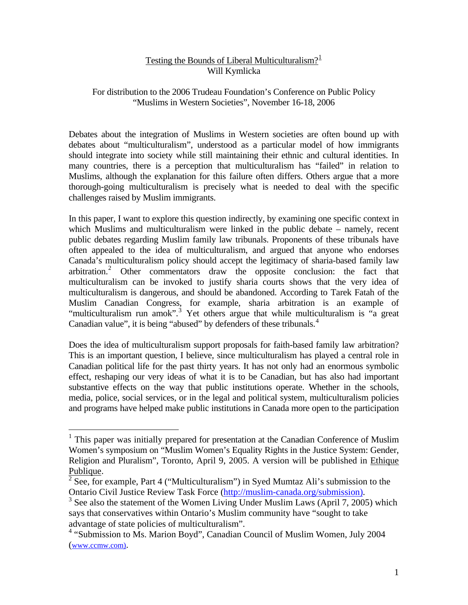# Testing the Bounds of Liberal Multiculturalism? $1<sup>1</sup>$  $1<sup>1</sup>$ Will Kymlicka

### For distribution to the 2006 Trudeau Foundation's Conference on Public Policy "Muslims in Western Societies", November 16-18, 2006

Debates about the integration of Muslims in Western societies are often bound up with debates about "multiculturalism", understood as a particular model of how immigrants should integrate into society while still maintaining their ethnic and cultural identities. In many countries, there is a perception that multiculturalism has "failed" in relation to Muslims, although the explanation for this failure often differs. Others argue that a more thorough-going multiculturalism is precisely what is needed to deal with the specific challenges raised by Muslim immigrants.

In this paper, I want to explore this question indirectly, by examining one specific context in which Muslims and multiculturalism were linked in the public debate – namely, recent public debates regarding Muslim family law tribunals. Proponents of these tribunals have often appealed to the idea of multiculturalism, and argued that anyone who endorses Canada's multiculturalism policy should accept the legitimacy of sharia-based family law arbitration.[2](#page-0-1) Other commentators draw the opposite conclusion: the fact that multiculturalism can be invoked to justify sharia courts shows that the very idea of multiculturalism is dangerous, and should be abandoned. According to Tarek Fatah of the Muslim Canadian Congress, for example, sharia arbitration is an example of "multiculturalism run amok".<sup>[3](#page-0-2)</sup> Yet others argue that while multiculturalism is "a great Canadian value", it is being "abused" by defenders of these tribunals.<sup>[4](#page-0-3)</sup>

Does the idea of multiculturalism support proposals for faith-based family law arbitration? This is an important question, I believe, since multiculturalism has played a central role in Canadian political life for the past thirty years. It has not only had an enormous symbolic effect, reshaping our very ideas of what it is to be Canadian, but has also had important substantive effects on the way that public institutions operate. Whether in the schools, media, police, social services, or in the legal and political system, multiculturalism policies and programs have helped make public institutions in Canada more open to the participation

<span id="page-0-0"></span><sup>&</sup>lt;sup>1</sup> This paper was initially prepared for presentation at the Canadian Conference of Muslim Women's symposium on "Muslim Women's Equality Rights in the Justice System: Gender, Religion and Pluralism", Toronto, April 9, 2005. A version will be published in Ethique Publique.

<span id="page-0-1"></span>See, for example, Part 4 ("Multiculturalism") in Syed Mumtaz Ali's submission to the Ontario Civil Justice Review Task Force ([http://muslim-canada.org/submission\).](http://muslim-canada.org/submission)) 3

<span id="page-0-2"></span> $3$  See also the statement of the Women Living Under Muslim Laws (April 7, 2005) which says that conservatives within Ontario's Muslim community have "sought to take advantage of state policies of multiculturalism".

<span id="page-0-3"></span><sup>&</sup>lt;sup>4</sup> "Submission to Ms. Marion Boyd", Canadian Council of Muslim Women, July 2004 ([www.ccmw.com\)](http://www.ccmw.com)/).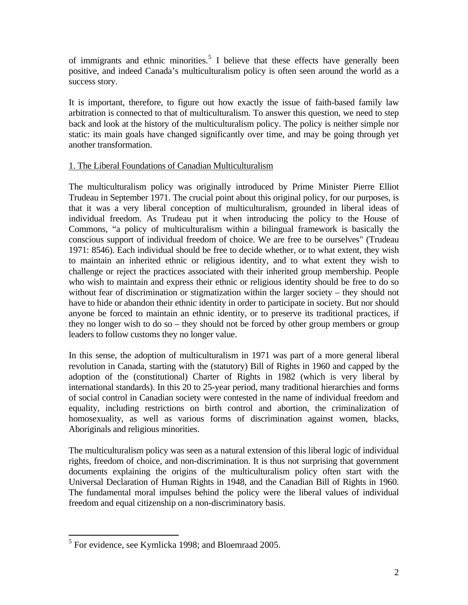of immigrants and ethnic minorities.<sup>[5](#page-1-0)</sup> I believe that these effects have generally been positive, and indeed Canada's multiculturalism policy is often seen around the world as a success story.

It is important, therefore, to figure out how exactly the issue of faith-based family law arbitration is connected to that of multiculturalism. To answer this question, we need to step back and look at the history of the multiculturalism policy. The policy is neither simple nor static: its main goals have changed significantly over time, and may be going through yet another transformation.

# 1. The Liberal Foundations of Canadian Multiculturalism

The multiculturalism policy was originally introduced by Prime Minister Pierre Elliot Trudeau in September 1971. The crucial point about this original policy, for our purposes, is that it was a very liberal conception of multiculturalism, grounded in liberal ideas of individual freedom. As Trudeau put it when introducing the policy to the House of Commons, "a policy of multiculturalism within a bilingual framework is basically the conscious support of individual freedom of choice. We are free to be ourselves" (Trudeau 1971: 8546). Each individual should be free to decide whether, or to what extent, they wish to maintain an inherited ethnic or religious identity, and to what extent they wish to challenge or reject the practices associated with their inherited group membership. People who wish to maintain and express their ethnic or religious identity should be free to do so without fear of discrimination or stigmatization within the larger society – they should not have to hide or abandon their ethnic identity in order to participate in society. But nor should anyone be forced to maintain an ethnic identity, or to preserve its traditional practices, if they no longer wish to do so – they should not be forced by other group members or group leaders to follow customs they no longer value.

In this sense, the adoption of multiculturalism in 1971 was part of a more general liberal revolution in Canada, starting with the (statutory) Bill of Rights in 1960 and capped by the adoption of the (constitutional) Charter of Rights in 1982 (which is very liberal by international standards). In this 20 to 25-year period, many traditional hierarchies and forms of social control in Canadian society were contested in the name of individual freedom and equality, including restrictions on birth control and abortion, the criminalization of homosexuality, as well as various forms of discrimination against women, blacks, Aboriginals and religious minorities.

The multiculturalism policy was seen as a natural extension of this liberal logic of individual rights, freedom of choice, and non-discrimination. It is thus not surprising that government documents explaining the origins of the multiculturalism policy often start with the Universal Declaration of Human Rights in 1948, and the Canadian Bill of Rights in 1960. The fundamental moral impulses behind the policy were the liberal values of individual freedom and equal citizenship on a non-discriminatory basis.

<span id="page-1-0"></span><sup>&</sup>lt;sup>5</sup> For evidence, see Kymlicka 1998; and Bloemraad 2005.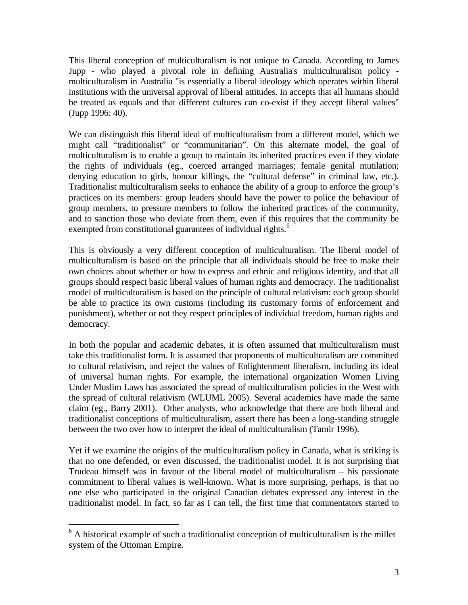This liberal conception of multiculturalism is not unique to Canada. According to James Jupp - who played a pivotal role in defining Australia's multiculturalism policy multiculturalism in Australia "is essentially a liberal ideology which operates within liberal institutions with the universal approval of liberal attitudes. In accepts that all humans should be treated as equals and that different cultures can co-exist if they accept liberal values" (Jupp 1996: 40).

We can distinguish this liberal ideal of multiculturalism from a different model, which we might call "traditionalist" or "communitarian". On this alternate model, the goal of multiculturalism is to enable a group to maintain its inherited practices even if they violate the rights of individuals (eg., coerced arranged marriages; female genital mutilation; denying education to girls, honour killings, the "cultural defense" in criminal law, etc.). Traditionalist multiculturalism seeks to enhance the ability of a group to enforce the group's practices on its members: group leaders should have the power to police the behaviour of group members, to pressure members to follow the inherited practices of the community, and to sanction those who deviate from them, even if this requires that the community be exempted from constitutional guarantees of individual rights.<sup>[6](#page-2-0)</sup>

This is obviously a very different conception of multiculturalism. The liberal model of multiculturalism is based on the principle that all individuals should be free to make their own choices about whether or how to express and ethnic and religious identity, and that all groups should respect basic liberal values of human rights and democracy. The traditionalist model of multiculturalism is based on the principle of cultural relativism: each group should be able to practice its own customs (including its customary forms of enforcement and punishment), whether or not they respect principles of individual freedom, human rights and democracy.

In both the popular and academic debates, it is often assumed that multiculturalism must take this traditionalist form. It is assumed that proponents of multiculturalism are committed to cultural relativism, and reject the values of Enlightenment liberalism, including its ideal of universal human rights. For example, the international organization Women Living Under Muslim Laws has associated the spread of multiculturalism policies in the West with the spread of cultural relativism (WLUML 2005). Several academics have made the same claim (eg., Barry 2001). Other analysts, who acknowledge that there are both liberal and traditionalist conceptions of multiculturalism, assert there has been a long-standing struggle between the two over how to interpret the ideal of multiculturalism (Tamir 1996).

Yet if we examine the origins of the multiculturalism policy in Canada, what is striking is that no one defended, or even discussed, the traditionalist model. It is not surprising that Trudeau himself was in favour of the liberal model of multiculturalism – his passionate commitment to liberal values is well-known. What is more surprising, perhaps, is that no one else who participated in the original Canadian debates expressed any interest in the traditionalist model. In fact, so far as I can tell, the first time that commentators started to

<span id="page-2-0"></span> $6$  A historical example of such a traditionalist conception of multiculturalism is the millet system of the Ottoman Empire.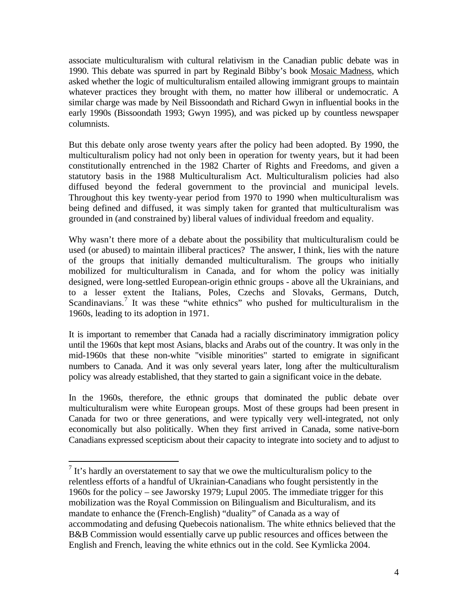associate multiculturalism with cultural relativism in the Canadian public debate was in 1990. This debate was spurred in part by Reginald Bibby's book Mosaic Madness, which asked whether the logic of multiculturalism entailed allowing immigrant groups to maintain whatever practices they brought with them, no matter how illiberal or undemocratic. A similar charge was made by Neil Bissoondath and Richard Gwyn in influential books in the early 1990s (Bissoondath 1993; Gwyn 1995), and was picked up by countless newspaper columnists.

But this debate only arose twenty years after the policy had been adopted. By 1990, the multiculturalism policy had not only been in operation for twenty years, but it had been constitutionally entrenched in the 1982 Charter of Rights and Freedoms, and given a statutory basis in the 1988 Multiculturalism Act. Multiculturalism policies had also diffused beyond the federal government to the provincial and municipal levels. Throughout this key twenty-year period from 1970 to 1990 when multiculturalism was being defined and diffused, it was simply taken for granted that multiculturalism was grounded in (and constrained by) liberal values of individual freedom and equality.

Why wasn't there more of a debate about the possibility that multiculturalism could be used (or abused) to maintain illiberal practices? The answer, I think, lies with the nature of the groups that initially demanded multiculturalism. The groups who initially mobilized for multiculturalism in Canada, and for whom the policy was initially designed, were long-settled European-origin ethnic groups - above all the Ukrainians, and to a lesser extent the Italians, Poles, Czechs and Slovaks, Germans, Dutch, Scandinavians.<sup>[7](#page-3-0)</sup> It was these "white ethnics" who pushed for multiculturalism in the 1960s, leading to its adoption in 1971.

It is important to remember that Canada had a racially discriminatory immigration policy until the 1960s that kept most Asians, blacks and Arabs out of the country. It was only in the mid-1960s that these non-white "visible minorities" started to emigrate in significant numbers to Canada. And it was only several years later, long after the multiculturalism policy was already established, that they started to gain a significant voice in the debate.

In the 1960s, therefore, the ethnic groups that dominated the public debate over multiculturalism were white European groups. Most of these groups had been present in Canada for two or three generations, and were typically very well-integrated, not only economically but also politically. When they first arrived in Canada, some native-born Canadians expressed scepticism about their capacity to integrate into society and to adjust to

<span id="page-3-0"></span> $<sup>7</sup>$  It's hardly an overstatement to say that we owe the multiculturalism policy to the</sup> relentless efforts of a handful of Ukrainian-Canadians who fought persistently in the 1960s for the policy – see Jaworsky 1979; Lupul 2005. The immediate trigger for this mobilization was the Royal Commission on Bilingualism and Biculturalism, and its mandate to enhance the (French-English) "duality" of Canada as a way of accommodating and defusing Quebecois nationalism. The white ethnics believed that the B&B Commission would essentially carve up public resources and offices between the English and French, leaving the white ethnics out in the cold. See Kymlicka 2004.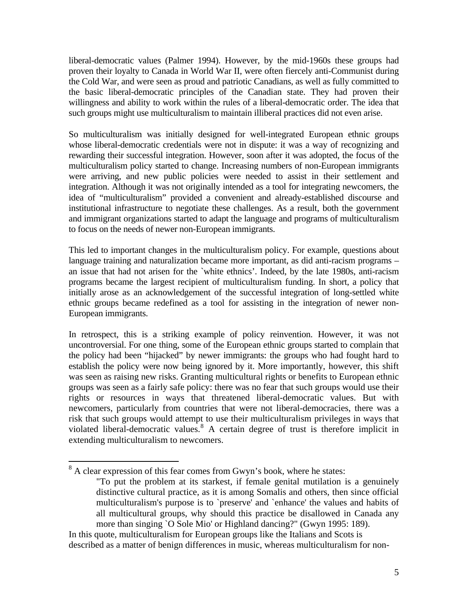liberal-democratic values (Palmer 1994). However, by the mid-1960s these groups had proven their loyalty to Canada in World War II, were often fiercely anti-Communist during the Cold War, and were seen as proud and patriotic Canadians, as well as fully committed to the basic liberal-democratic principles of the Canadian state. They had proven their willingness and ability to work within the rules of a liberal-democratic order. The idea that such groups might use multiculturalism to maintain illiberal practices did not even arise.

So multiculturalism was initially designed for well-integrated European ethnic groups whose liberal-democratic credentials were not in dispute: it was a way of recognizing and rewarding their successful integration. However, soon after it was adopted, the focus of the multiculturalism policy started to change. Increasing numbers of non-European immigrants were arriving, and new public policies were needed to assist in their settlement and integration. Although it was not originally intended as a tool for integrating newcomers, the idea of "multiculturalism" provided a convenient and already-established discourse and institutional infrastructure to negotiate these challenges. As a result, both the government and immigrant organizations started to adapt the language and programs of multiculturalism to focus on the needs of newer non-European immigrants.

This led to important changes in the multiculturalism policy. For example, questions about language training and naturalization became more important, as did anti-racism programs – an issue that had not arisen for the `white ethnics'. Indeed, by the late 1980s, anti-racism programs became the largest recipient of multiculturalism funding. In short, a policy that initially arose as an acknowledgement of the successful integration of long-settled white ethnic groups became redefined as a tool for assisting in the integration of newer non-European immigrants.

In retrospect, this is a striking example of policy reinvention. However, it was not uncontroversial. For one thing, some of the European ethnic groups started to complain that the policy had been "hijacked" by newer immigrants: the groups who had fought hard to establish the policy were now being ignored by it. More importantly, however, this shift was seen as raising new risks. Granting multicultural rights or benefits to European ethnic groups was seen as a fairly safe policy: there was no fear that such groups would use their rights or resources in ways that threatened liberal-democratic values. But with newcomers, particularly from countries that were not liberal-democracies, there was a risk that such groups would attempt to use their multiculturalism privileges in ways that violated liberal-democratic values.<sup>[8](#page-4-0)</sup> A certain degree of trust is therefore implicit in extending multiculturalism to newcomers.

<span id="page-4-0"></span> $8<sup>8</sup>$  A clear expression of this fear comes from Gwyn's book, where he states:

<sup>&</sup>quot;To put the problem at its starkest, if female genital mutilation is a genuinely distinctive cultural practice, as it is among Somalis and others, then since official multiculturalism's purpose is to `preserve' and `enhance' the values and habits of all multicultural groups, why should this practice be disallowed in Canada any more than singing `O Sole Mio' or Highland dancing?" (Gwyn 1995: 189).

In this quote, multiculturalism for European groups like the Italians and Scots is described as a matter of benign differences in music, whereas multiculturalism for non-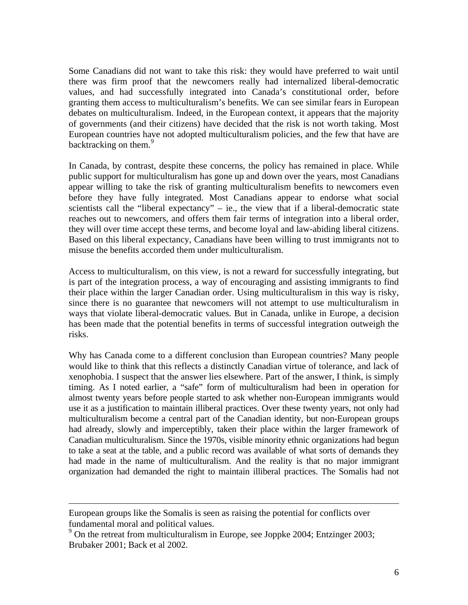Some Canadians did not want to take this risk: they would have preferred to wait until there was firm proof that the newcomers really had internalized liberal-democratic values, and had successfully integrated into Canada's constitutional order, before granting them access to multiculturalism's benefits. We can see similar fears in European debates on multiculturalism. Indeed, in the European context, it appears that the majority of governments (and their citizens) have decided that the risk is not worth taking. Most European countries have not adopted multiculturalism policies, and the few that have are backtracking on them.<sup>[9](#page-5-0)</sup>

In Canada, by contrast, despite these concerns, the policy has remained in place. While public support for multiculturalism has gone up and down over the years, most Canadians appear willing to take the risk of granting multiculturalism benefits to newcomers even before they have fully integrated. Most Canadians appear to endorse what social scientists call the "liberal expectancy" – ie., the view that if a liberal-democratic state reaches out to newcomers, and offers them fair terms of integration into a liberal order, they will over time accept these terms, and become loyal and law-abiding liberal citizens. Based on this liberal expectancy, Canadians have been willing to trust immigrants not to misuse the benefits accorded them under multiculturalism.

Access to multiculturalism, on this view, is not a reward for successfully integrating, but is part of the integration process, a way of encouraging and assisting immigrants to find their place within the larger Canadian order. Using multiculturalism in this way is risky, since there is no guarantee that newcomers will not attempt to use multiculturalism in ways that violate liberal-democratic values. But in Canada, unlike in Europe, a decision has been made that the potential benefits in terms of successful integration outweigh the risks.

Why has Canada come to a different conclusion than European countries? Many people would like to think that this reflects a distinctly Canadian virtue of tolerance, and lack of xenophobia. I suspect that the answer lies elsewhere. Part of the answer, I think, is simply timing. As I noted earlier, a "safe" form of multiculturalism had been in operation for almost twenty years before people started to ask whether non-European immigrants would use it as a justification to maintain illiberal practices. Over these twenty years, not only had multiculturalism become a central part of the Canadian identity, but non-European groups had already, slowly and imperceptibly, taken their place within the larger framework of Canadian multiculturalism. Since the 1970s, visible minority ethnic organizations had begun to take a seat at the table, and a public record was available of what sorts of demands they had made in the name of multiculturalism. And the reality is that no major immigrant organization had demanded the right to maintain illiberal practices. The Somalis had not

European groups like the Somalis is seen as raising the potential for conflicts over fundamental moral and political values.

<span id="page-5-0"></span><sup>&</sup>lt;sup>9</sup> On the retreat from multiculturalism in Europe, see Joppke 2004; Entzinger 2003; Brubaker 2001; Back et al 2002.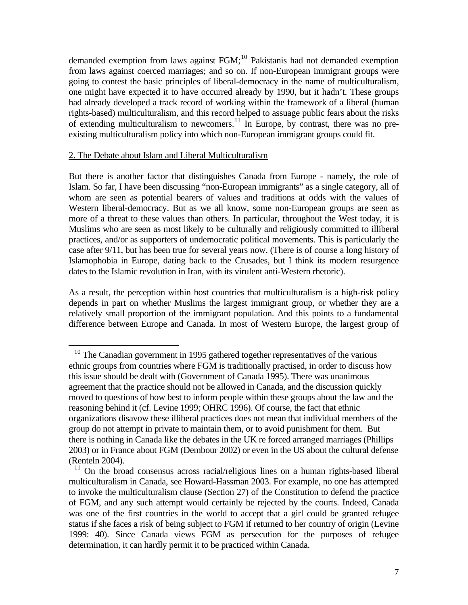demanded exemption from laws against FGM;<sup>[10](#page-6-0)</sup> Pakistanis had not demanded exemption from laws against coerced marriages; and so on. If non-European immigrant groups were going to contest the basic principles of liberal-democracy in the name of multiculturalism, one might have expected it to have occurred already by 1990, but it hadn't. These groups had already developed a track record of working within the framework of a liberal (human rights-based) multiculturalism, and this record helped to assuage public fears about the risks of extending multiculturalism to newcomers.<sup>[11](#page-6-1)</sup> In Europe, by contrast, there was no preexisting multiculturalism policy into which non-European immigrant groups could fit.

#### 2. The Debate about Islam and Liberal Multiculturalism

 $\overline{a}$ 

But there is another factor that distinguishes Canada from Europe - namely, the role of Islam. So far, I have been discussing "non-European immigrants" as a single category, all of whom are seen as potential bearers of values and traditions at odds with the values of Western liberal-democracy. But as we all know, some non-European groups are seen as more of a threat to these values than others. In particular, throughout the West today, it is Muslims who are seen as most likely to be culturally and religiously committed to illiberal practices, and/or as supporters of undemocratic political movements. This is particularly the case after 9/11, but has been true for several years now. (There is of course a long history of Islamophobia in Europe, dating back to the Crusades, but I think its modern resurgence dates to the Islamic revolution in Iran, with its virulent anti-Western rhetoric).

As a result, the perception within host countries that multiculturalism is a high-risk policy depends in part on whether Muslims the largest immigrant group, or whether they are a relatively small proportion of the immigrant population. And this points to a fundamental difference between Europe and Canada. In most of Western Europe, the largest group of

<span id="page-6-0"></span><sup>&</sup>lt;sup>10</sup> The Canadian government in 1995 gathered together representatives of the various ethnic groups from countries where FGM is traditionally practised, in order to discuss how this issue should be dealt with (Government of Canada 1995). There was unanimous agreement that the practice should not be allowed in Canada, and the discussion quickly moved to questions of how best to inform people within these groups about the law and the reasoning behind it (cf. Levine 1999; OHRC 1996). Of course, the fact that ethnic organizations disavow these illiberal practices does not mean that individual members of the group do not attempt in private to maintain them, or to avoid punishment for them. But there is nothing in Canada like the debates in the UK re forced arranged marriages (Phillips 2003) or in France about FGM (Dembour 2002) or even in the US about the cultural defense (Renteln 2004).

<span id="page-6-1"></span> <sup>11</sup> On the broad consensus across racial/religious lines on a human rights-based liberal multiculturalism in Canada, see Howard-Hassman 2003. For example, no one has attempted to invoke the multiculturalism clause (Section 27) of the Constitution to defend the practice of FGM, and any such attempt would certainly be rejected by the courts. Indeed, Canada was one of the first countries in the world to accept that a girl could be granted refugee status if she faces a risk of being subject to FGM if returned to her country of origin (Levine 1999: 40). Since Canada views FGM as persecution for the purposes of refugee determination, it can hardly permit it to be practiced within Canada.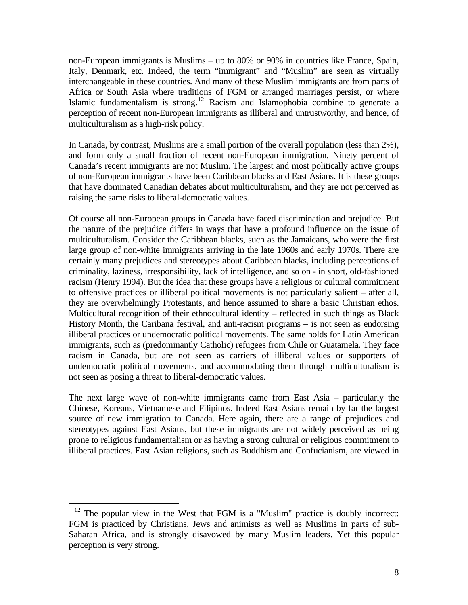non-European immigrants is Muslims – up to 80% or 90% in countries like France, Spain, Italy, Denmark, etc. Indeed, the term "immigrant" and "Muslim" are seen as virtually interchangeable in these countries. And many of these Muslim immigrants are from parts of Africa or South Asia where traditions of FGM or arranged marriages persist, or where Islamic fundamentalism is strong.<sup>[12](#page-7-0)</sup> Racism and Islamophobia combine to generate a perception of recent non-European immigrants as illiberal and untrustworthy, and hence, of multiculturalism as a high-risk policy.

In Canada, by contrast, Muslims are a small portion of the overall population (less than 2%), and form only a small fraction of recent non-European immigration. Ninety percent of Canada's recent immigrants are not Muslim. The largest and most politically active groups of non-European immigrants have been Caribbean blacks and East Asians. It is these groups that have dominated Canadian debates about multiculturalism, and they are not perceived as raising the same risks to liberal-democratic values.

Of course all non-European groups in Canada have faced discrimination and prejudice. But the nature of the prejudice differs in ways that have a profound influence on the issue of multiculturalism. Consider the Caribbean blacks, such as the Jamaicans, who were the first large group of non-white immigrants arriving in the late 1960s and early 1970s. There are certainly many prejudices and stereotypes about Caribbean blacks, including perceptions of criminality, laziness, irresponsibility, lack of intelligence, and so on - in short, old-fashioned racism (Henry 1994). But the idea that these groups have a religious or cultural commitment to offensive practices or illiberal political movements is not particularly salient – after all, they are overwhelmingly Protestants, and hence assumed to share a basic Christian ethos. Multicultural recognition of their ethnocultural identity – reflected in such things as Black History Month, the Caribana festival, and anti-racism programs – is not seen as endorsing illiberal practices or undemocratic political movements. The same holds for Latin American immigrants, such as (predominantly Catholic) refugees from Chile or Guatamela. They face racism in Canada, but are not seen as carriers of illiberal values or supporters of undemocratic political movements, and accommodating them through multiculturalism is not seen as posing a threat to liberal-democratic values.

The next large wave of non-white immigrants came from East Asia – particularly the Chinese, Koreans, Vietnamese and Filipinos. Indeed East Asians remain by far the largest source of new immigration to Canada. Here again, there are a range of prejudices and stereotypes against East Asians, but these immigrants are not widely perceived as being prone to religious fundamentalism or as having a strong cultural or religious commitment to illiberal practices. East Asian religions, such as Buddhism and Confucianism, are viewed in

<span id="page-7-0"></span> $12$  The popular view in the West that FGM is a "Muslim" practice is doubly incorrect: FGM is practiced by Christians, Jews and animists as well as Muslims in parts of sub-Saharan Africa, and is strongly disavowed by many Muslim leaders. Yet this popular perception is very strong.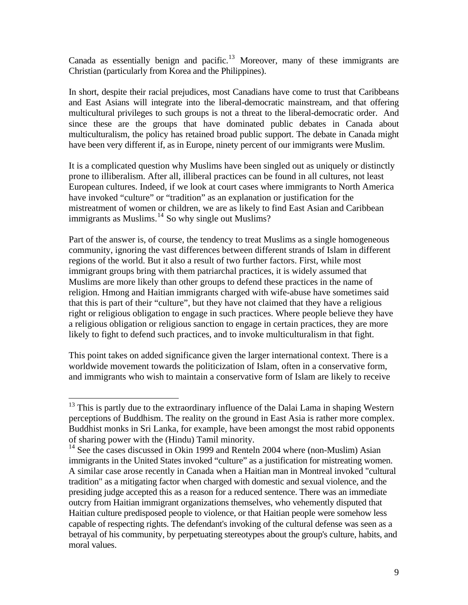Canada as essentially benign and pacific.<sup>[13](#page-8-0)</sup> Moreover, many of these immigrants are Christian (particularly from Korea and the Philippines).

In short, despite their racial prejudices, most Canadians have come to trust that Caribbeans and East Asians will integrate into the liberal-democratic mainstream, and that offering multicultural privileges to such groups is not a threat to the liberal-democratic order. And since these are the groups that have dominated public debates in Canada about multiculturalism, the policy has retained broad public support. The debate in Canada might have been very different if, as in Europe, ninety percent of our immigrants were Muslim.

It is a complicated question why Muslims have been singled out as uniquely or distinctly prone to illiberalism. After all, illiberal practices can be found in all cultures, not least European cultures. Indeed, if we look at court cases where immigrants to North America have invoked "culture" or "tradition" as an explanation or justification for the mistreatment of women or children, we are as likely to find East Asian and Caribbean immigrants as Muslims.<sup>[14](#page-8-1)</sup> So why single out Muslims?

Part of the answer is, of course, the tendency to treat Muslims as a single homogeneous community, ignoring the vast differences between different strands of Islam in different regions of the world. But it also a result of two further factors. First, while most immigrant groups bring with them patriarchal practices, it is widely assumed that Muslims are more likely than other groups to defend these practices in the name of religion. Hmong and Haitian immigrants charged with wife-abuse have sometimes said that this is part of their "culture", but they have not claimed that they have a religious right or religious obligation to engage in such practices. Where people believe they have a religious obligation or religious sanction to engage in certain practices, they are more likely to fight to defend such practices, and to invoke multiculturalism in that fight.

This point takes on added significance given the larger international context. There is a worldwide movement towards the politicization of Islam, often in a conservative form, and immigrants who wish to maintain a conservative form of Islam are likely to receive

<span id="page-8-0"></span> $13$  This is partly due to the extraordinary influence of the Dalai Lama in shaping Western perceptions of Buddhism. The reality on the ground in East Asia is rather more complex. Buddhist monks in Sri Lanka, for example, have been amongst the most rabid opponents of sharing power with the (Hindu) Tamil minority.

<span id="page-8-1"></span><sup>&</sup>lt;sup>14</sup> See the cases discussed in Okin 1999 and Renteln 2004 where (non-Muslim) Asian immigrants in the United States invoked "culture" as a justification for mistreating women. A similar case arose recently in Canada when a Haitian man in Montreal invoked "cultural tradition" as a mitigating factor when charged with domestic and sexual violence, and the presiding judge accepted this as a reason for a reduced sentence. There was an immediate outcry from Haitian immigrant organizations themselves, who vehemently disputed that Haitian culture predisposed people to violence, or that Haitian people were somehow less capable of respecting rights. The defendant's invoking of the cultural defense was seen as a betrayal of his community, by perpetuating stereotypes about the group's culture, habits, and moral values.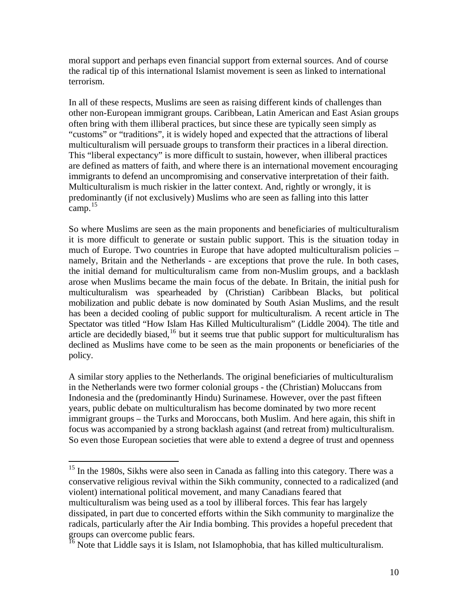moral support and perhaps even financial support from external sources. And of course the radical tip of this international Islamist movement is seen as linked to international terrorism.

In all of these respects, Muslims are seen as raising different kinds of challenges than other non-European immigrant groups. Caribbean, Latin American and East Asian groups often bring with them illiberal practices, but since these are typically seen simply as "customs" or "traditions", it is widely hoped and expected that the attractions of liberal multiculturalism will persuade groups to transform their practices in a liberal direction. This "liberal expectancy" is more difficult to sustain, however, when illiberal practices are defined as matters of faith, and where there is an international movement encouraging immigrants to defend an uncompromising and conservative interpretation of their faith. Multiculturalism is much riskier in the latter context. And, rightly or wrongly, it is predominantly (if not exclusively) Muslims who are seen as falling into this latter  $camn<sup>15</sup>$  $camn<sup>15</sup>$  $camn<sup>15</sup>$ 

So where Muslims are seen as the main proponents and beneficiaries of multiculturalism it is more difficult to generate or sustain public support. This is the situation today in much of Europe. Two countries in Europe that have adopted multiculturalism policies – namely, Britain and the Netherlands - are exceptions that prove the rule. In both cases, the initial demand for multiculturalism came from non-Muslim groups, and a backlash arose when Muslims became the main focus of the debate. In Britain, the initial push for multiculturalism was spearheaded by (Christian) Caribbean Blacks, but political mobilization and public debate is now dominated by South Asian Muslims, and the result has been a decided cooling of public support for multiculturalism. A recent article in The Spectator was titled "How Islam Has Killed Multiculturalism" (Liddle 2004). The title and article are decidedly biased, $16$  but it seems true that public support for multiculturalism has declined as Muslims have come to be seen as the main proponents or beneficiaries of the policy.

A similar story applies to the Netherlands. The original beneficiaries of multiculturalism in the Netherlands were two former colonial groups - the (Christian) Moluccans from Indonesia and the (predominantly Hindu) Surinamese. However, over the past fifteen years, public debate on multiculturalism has become dominated by two more recent immigrant groups – the Turks and Moroccans, both Muslim. And here again, this shift in focus was accompanied by a strong backlash against (and retreat from) multiculturalism. So even those European societies that were able to extend a degree of trust and openness

<span id="page-9-0"></span> $15$  In the 1980s, Sikhs were also seen in Canada as falling into this category. There was a conservative religious revival within the Sikh community, connected to a radicalized (and violent) international political movement, and many Canadians feared that multiculturalism was being used as a tool by illiberal forces. This fear has largely dissipated, in part due to concerted efforts within the Sikh community to marginalize the radicals, particularly after the Air India bombing. This provides a hopeful precedent that groups can overcome public fears.

<span id="page-9-1"></span> $\frac{16}{16}$  Note that Liddle says it is Islam, not Islamophobia, that has killed multiculturalism.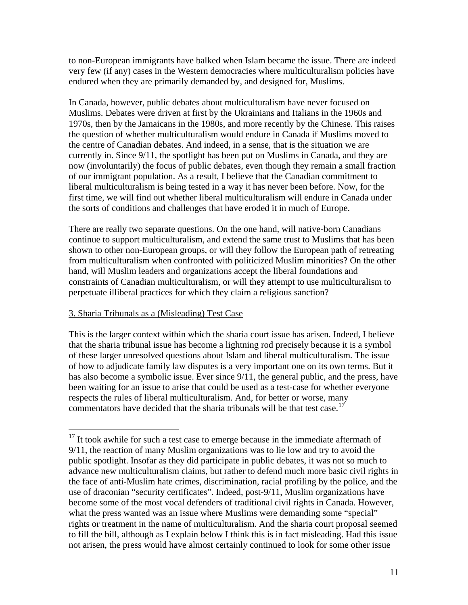to non-European immigrants have balked when Islam became the issue. There are indeed very few (if any) cases in the Western democracies where multiculturalism policies have endured when they are primarily demanded by, and designed for, Muslims.

In Canada, however, public debates about multiculturalism have never focused on Muslims. Debates were driven at first by the Ukrainians and Italians in the 1960s and 1970s, then by the Jamaicans in the 1980s, and more recently by the Chinese. This raises the question of whether multiculturalism would endure in Canada if Muslims moved to the centre of Canadian debates. And indeed, in a sense, that is the situation we are currently in. Since 9/11, the spotlight has been put on Muslims in Canada, and they are now (involuntarily) the focus of public debates, even though they remain a small fraction of our immigrant population. As a result, I believe that the Canadian commitment to liberal multiculturalism is being tested in a way it has never been before. Now, for the first time, we will find out whether liberal multiculturalism will endure in Canada under the sorts of conditions and challenges that have eroded it in much of Europe.

There are really two separate questions. On the one hand, will native-born Canadians continue to support multiculturalism, and extend the same trust to Muslims that has been shown to other non-European groups, or will they follow the European path of retreating from multiculturalism when confronted with politicized Muslim minorities? On the other hand, will Muslim leaders and organizations accept the liberal foundations and constraints of Canadian multiculturalism, or will they attempt to use multiculturalism to perpetuate illiberal practices for which they claim a religious sanction?

# 3. Sharia Tribunals as a (Misleading) Test Case

 $\overline{a}$ 

This is the larger context within which the sharia court issue has arisen. Indeed, I believe that the sharia tribunal issue has become a lightning rod precisely because it is a symbol of these larger unresolved questions about Islam and liberal multiculturalism. The issue of how to adjudicate family law disputes is a very important one on its own terms. But it has also become a symbolic issue. Ever since 9/11, the general public, and the press, have been waiting for an issue to arise that could be used as a test-case for whether everyone respects the rules of liberal multiculturalism. And, for better or worse, many commentators have decided that the sharia tribunals will be that test case.<sup>[17](#page-10-0)</sup>

<span id="page-10-0"></span> $17$  It took awhile for such a test case to emerge because in the immediate aftermath of 9/11, the reaction of many Muslim organizations was to lie low and try to avoid the public spotlight. Insofar as they did participate in public debates, it was not so much to advance new multiculturalism claims, but rather to defend much more basic civil rights in the face of anti-Muslim hate crimes, discrimination, racial profiling by the police, and the use of draconian "security certificates". Indeed, post-9/11, Muslim organizations have become some of the most vocal defenders of traditional civil rights in Canada. However, what the press wanted was an issue where Muslims were demanding some "special" rights or treatment in the name of multiculturalism. And the sharia court proposal seemed to fill the bill, although as I explain below I think this is in fact misleading. Had this issue not arisen, the press would have almost certainly continued to look for some other issue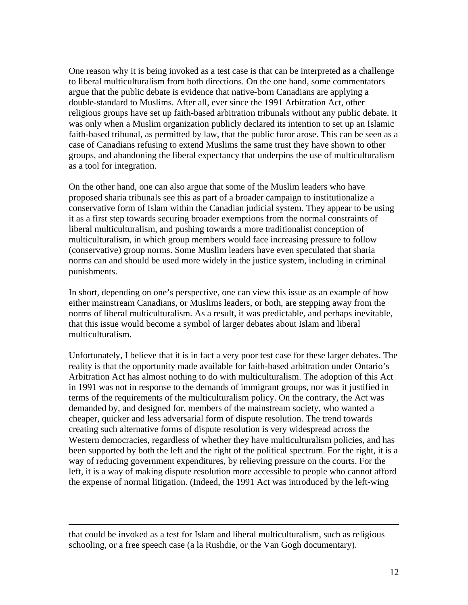One reason why it is being invoked as a test case is that can be interpreted as a challenge to liberal multiculturalism from both directions. On the one hand, some commentators argue that the public debate is evidence that native-born Canadians are applying a double-standard to Muslims. After all, ever since the 1991 Arbitration Act, other religious groups have set up faith-based arbitration tribunals without any public debate. It was only when a Muslim organization publicly declared its intention to set up an Islamic faith-based tribunal, as permitted by law, that the public furor arose. This can be seen as a case of Canadians refusing to extend Muslims the same trust they have shown to other groups, and abandoning the liberal expectancy that underpins the use of multiculturalism as a tool for integration.

On the other hand, one can also argue that some of the Muslim leaders who have proposed sharia tribunals see this as part of a broader campaign to institutionalize a conservative form of Islam within the Canadian judicial system. They appear to be using it as a first step towards securing broader exemptions from the normal constraints of liberal multiculturalism, and pushing towards a more traditionalist conception of multiculturalism, in which group members would face increasing pressure to follow (conservative) group norms. Some Muslim leaders have even speculated that sharia norms can and should be used more widely in the justice system, including in criminal punishments.

In short, depending on one's perspective, one can view this issue as an example of how either mainstream Canadians, or Muslims leaders, or both, are stepping away from the norms of liberal multiculturalism. As a result, it was predictable, and perhaps inevitable, that this issue would become a symbol of larger debates about Islam and liberal multiculturalism.

Unfortunately, I believe that it is in fact a very poor test case for these larger debates. The reality is that the opportunity made available for faith-based arbitration under Ontario's Arbitration Act has almost nothing to do with multiculturalism. The adoption of this Act in 1991 was not in response to the demands of immigrant groups, nor was it justified in terms of the requirements of the multiculturalism policy. On the contrary, the Act was demanded by, and designed for, members of the mainstream society, who wanted a cheaper, quicker and less adversarial form of dispute resolution. The trend towards creating such alternative forms of dispute resolution is very widespread across the Western democracies, regardless of whether they have multiculturalism policies, and has been supported by both the left and the right of the political spectrum. For the right, it is a way of reducing government expenditures, by relieving pressure on the courts. For the left, it is a way of making dispute resolution more accessible to people who cannot afford the expense of normal litigation. (Indeed, the 1991 Act was introduced by the left-wing

that could be invoked as a test for Islam and liberal multiculturalism, such as religious schooling, or a free speech case (a la Rushdie, or the Van Gogh documentary).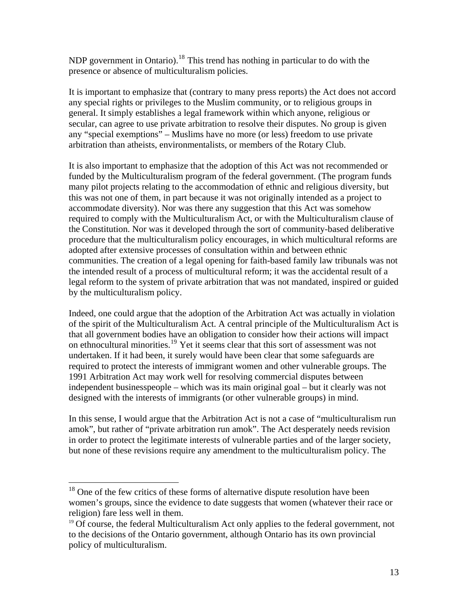NDP government in Ontario).<sup>[18](#page-12-0)</sup> This trend has nothing in particular to do with the presence or absence of multiculturalism policies.

It is important to emphasize that (contrary to many press reports) the Act does not accord any special rights or privileges to the Muslim community, or to religious groups in general. It simply establishes a legal framework within which anyone, religious or secular, can agree to use private arbitration to resolve their disputes. No group is given any "special exemptions" – Muslims have no more (or less) freedom to use private arbitration than atheists, environmentalists, or members of the Rotary Club.

It is also important to emphasize that the adoption of this Act was not recommended or funded by the Multiculturalism program of the federal government. (The program funds many pilot projects relating to the accommodation of ethnic and religious diversity, but this was not one of them, in part because it was not originally intended as a project to accommodate diversity). Nor was there any suggestion that this Act was somehow required to comply with the Multiculturalism Act, or with the Multiculturalism clause of the Constitution. Nor was it developed through the sort of community-based deliberative procedure that the multiculturalism policy encourages, in which multicultural reforms are adopted after extensive processes of consultation within and between ethnic communities. The creation of a legal opening for faith-based family law tribunals was not the intended result of a process of multicultural reform; it was the accidental result of a legal reform to the system of private arbitration that was not mandated, inspired or guided by the multiculturalism policy.

Indeed, one could argue that the adoption of the Arbitration Act was actually in violation of the spirit of the Multiculturalism Act. A central principle of the Multiculturalism Act is that all government bodies have an obligation to consider how their actions will impact on ethnocultural minorities.[19](#page-12-1) Yet it seems clear that this sort of assessment was not undertaken. If it had been, it surely would have been clear that some safeguards are required to protect the interests of immigrant women and other vulnerable groups. The 1991 Arbitration Act may work well for resolving commercial disputes between independent businesspeople – which was its main original goal – but it clearly was not designed with the interests of immigrants (or other vulnerable groups) in mind.

In this sense, I would argue that the Arbitration Act is not a case of "multiculturalism run amok", but rather of "private arbitration run amok". The Act desperately needs revision in order to protect the legitimate interests of vulnerable parties and of the larger society, but none of these revisions require any amendment to the multiculturalism policy. The

<span id="page-12-0"></span> $18$  One of the few critics of these forms of alternative dispute resolution have been women's groups, since the evidence to date suggests that women (whatever their race or religion) fare less well in them.

<span id="page-12-1"></span> $19$  Of course, the federal Multiculturalism Act only applies to the federal government, not to the decisions of the Ontario government, although Ontario has its own provincial policy of multiculturalism.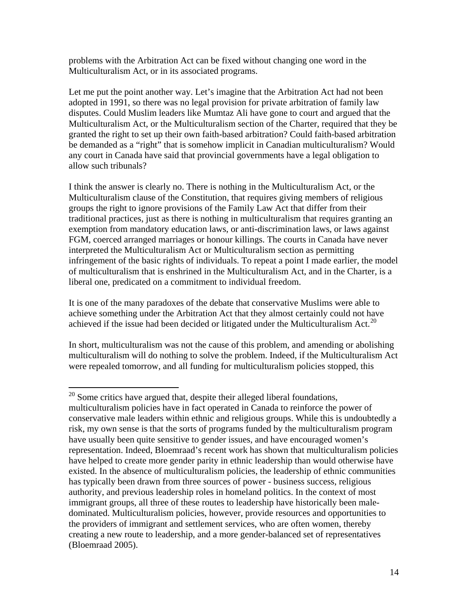problems with the Arbitration Act can be fixed without changing one word in the Multiculturalism Act, or in its associated programs.

Let me put the point another way. Let's imagine that the Arbitration Act had not been adopted in 1991, so there was no legal provision for private arbitration of family law disputes. Could Muslim leaders like Mumtaz Ali have gone to court and argued that the Multiculturalism Act, or the Multiculturalism section of the Charter, required that they be granted the right to set up their own faith-based arbitration? Could faith-based arbitration be demanded as a "right" that is somehow implicit in Canadian multiculturalism? Would any court in Canada have said that provincial governments have a legal obligation to allow such tribunals?

I think the answer is clearly no. There is nothing in the Multiculturalism Act, or the Multiculturalism clause of the Constitution, that requires giving members of religious groups the right to ignore provisions of the Family Law Act that differ from their traditional practices, just as there is nothing in multiculturalism that requires granting an exemption from mandatory education laws, or anti-discrimination laws, or laws against FGM, coerced arranged marriages or honour killings. The courts in Canada have never interpreted the Multiculturalism Act or Multiculturalism section as permitting infringement of the basic rights of individuals. To repeat a point I made earlier, the model of multiculturalism that is enshrined in the Multiculturalism Act, and in the Charter, is a liberal one, predicated on a commitment to individual freedom.

It is one of the many paradoxes of the debate that conservative Muslims were able to achieve something under the Arbitration Act that they almost certainly could not have achieved if the issue had been decided or litigated under the Multiculturalism Act.<sup>[20](#page-13-0)</sup>

In short, multiculturalism was not the cause of this problem, and amending or abolishing multiculturalism will do nothing to solve the problem. Indeed, if the Multiculturalism Act were repealed tomorrow, and all funding for multiculturalism policies stopped, this

1

<span id="page-13-0"></span> $20$  Some critics have argued that, despite their alleged liberal foundations, multiculturalism policies have in fact operated in Canada to reinforce the power of conservative male leaders within ethnic and religious groups. While this is undoubtedly a risk, my own sense is that the sorts of programs funded by the multiculturalism program have usually been quite sensitive to gender issues, and have encouraged women's representation. Indeed, Bloemraad's recent work has shown that multiculturalism policies have helped to create more gender parity in ethnic leadership than would otherwise have existed. In the absence of multiculturalism policies, the leadership of ethnic communities has typically been drawn from three sources of power - business success, religious authority, and previous leadership roles in homeland politics. In the context of most immigrant groups, all three of these routes to leadership have historically been maledominated. Multiculturalism policies, however, provide resources and opportunities to the providers of immigrant and settlement services, who are often women, thereby creating a new route to leadership, and a more gender-balanced set of representatives (Bloemraad 2005).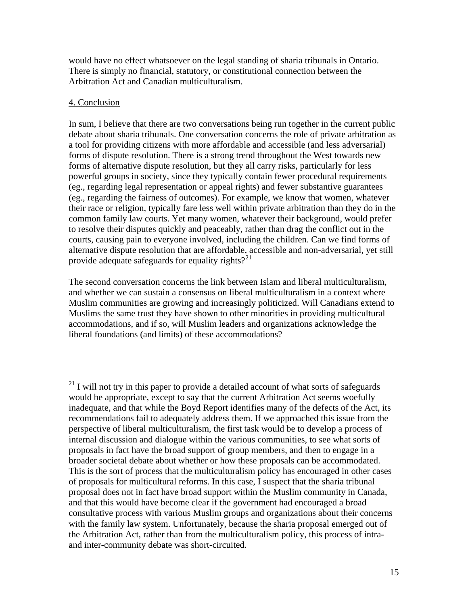would have no effect whatsoever on the legal standing of sharia tribunals in Ontario. There is simply no financial, statutory, or constitutional connection between the Arbitration Act and Canadian multiculturalism.

### 4. Conclusion

In sum, I believe that there are two conversations being run together in the current public debate about sharia tribunals. One conversation concerns the role of private arbitration as a tool for providing citizens with more affordable and accessible (and less adversarial) forms of dispute resolution. There is a strong trend throughout the West towards new forms of alternative dispute resolution, but they all carry risks, particularly for less powerful groups in society, since they typically contain fewer procedural requirements (eg., regarding legal representation or appeal rights) and fewer substantive guarantees (eg., regarding the fairness of outcomes). For example, we know that women, whatever their race or religion, typically fare less well within private arbitration than they do in the common family law courts. Yet many women, whatever their background, would prefer to resolve their disputes quickly and peaceably, rather than drag the conflict out in the courts, causing pain to everyone involved, including the children. Can we find forms of alternative dispute resolution that are affordable, accessible and non-adversarial, yet still provide adequate safeguards for equality rights? $2^{21}$  $2^{21}$  $2^{21}$ 

The second conversation concerns the link between Islam and liberal multiculturalism, and whether we can sustain a consensus on liberal multiculturalism in a context where Muslim communities are growing and increasingly politicized. Will Canadians extend to Muslims the same trust they have shown to other minorities in providing multicultural accommodations, and if so, will Muslim leaders and organizations acknowledge the liberal foundations (and limits) of these accommodations?

<span id="page-14-0"></span> $\overline{a}$  $21$  I will not try in this paper to provide a detailed account of what sorts of safeguards would be appropriate, except to say that the current Arbitration Act seems woefully inadequate, and that while the Boyd Report identifies many of the defects of the Act, its recommendations fail to adequately address them. If we approached this issue from the perspective of liberal multiculturalism, the first task would be to develop a process of internal discussion and dialogue within the various communities, to see what sorts of proposals in fact have the broad support of group members, and then to engage in a broader societal debate about whether or how these proposals can be accommodated. This is the sort of process that the multiculturalism policy has encouraged in other cases of proposals for multicultural reforms. In this case, I suspect that the sharia tribunal proposal does not in fact have broad support within the Muslim community in Canada, and that this would have become clear if the government had encouraged a broad consultative process with various Muslim groups and organizations about their concerns with the family law system. Unfortunately, because the sharia proposal emerged out of the Arbitration Act, rather than from the multiculturalism policy, this process of intraand inter-community debate was short-circuited.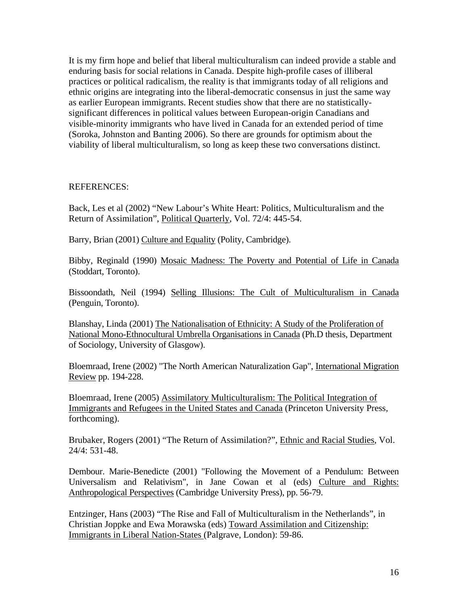It is my firm hope and belief that liberal multiculturalism can indeed provide a stable and enduring basis for social relations in Canada. Despite high-profile cases of illiberal practices or political radicalism, the reality is that immigrants today of all religions and ethnic origins are integrating into the liberal-democratic consensus in just the same way as earlier European immigrants. Recent studies show that there are no statisticallysignificant differences in political values between European-origin Canadians and visible-minority immigrants who have lived in Canada for an extended period of time (Soroka, Johnston and Banting 2006). So there are grounds for optimism about the viability of liberal multiculturalism, so long as keep these two conversations distinct.

#### REFERENCES:

Back, Les et al (2002) "New Labour's White Heart: Politics, Multiculturalism and the Return of Assimilation", Political Quarterly, Vol. 72/4: 445-54.

Barry, Brian (2001) Culture and Equality (Polity, Cambridge).

Bibby, Reginald (1990) Mosaic Madness: The Poverty and Potential of Life in Canada (Stoddart, Toronto).

Bissoondath, Neil (1994) Selling Illusions: The Cult of Multiculturalism in Canada (Penguin, Toronto).

Blanshay, Linda (2001) The Nationalisation of Ethnicity: A Study of the Proliferation of National Mono-Ethnocultural Umbrella Organisations in Canada (Ph.D thesis, Department of Sociology, University of Glasgow).

Bloemraad, Irene (2002) "The North American Naturalization Gap", International Migration Review pp. 194-228.

Bloemraad, Irene (2005) Assimilatory Multiculturalism: The Political Integration of Immigrants and Refugees in the United States and Canada (Princeton University Press, forthcoming).

Brubaker, Rogers (2001) "The Return of Assimilation?", *Ethnic and Racial Studies*, Vol. 24/4: 531-48.

Dembour. Marie-Benedicte (2001) "Following the Movement of a Pendulum: Between Universalism and Relativism", in Jane Cowan et al (eds) Culture and Rights: Anthropological Perspectives (Cambridge University Press), pp. 56-79.

Entzinger, Hans (2003) "The Rise and Fall of Multiculturalism in the Netherlands", in Christian Joppke and Ewa Morawska (eds) Toward Assimilation and Citizenship: Immigrants in Liberal Nation-States (Palgrave, London): 59-86.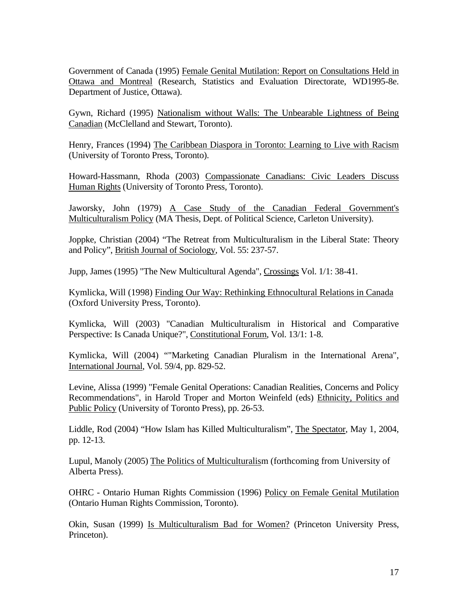Government of Canada (1995) Female Genital Mutilation: Report on Consultations Held in Ottawa and Montreal (Research, Statistics and Evaluation Directorate, WD1995-8e. Department of Justice, Ottawa).

Gywn, Richard (1995) Nationalism without Walls: The Unbearable Lightness of Being Canadian (McClelland and Stewart, Toronto).

Henry, Frances (1994) The Caribbean Diaspora in Toronto: Learning to Live with Racism (University of Toronto Press, Toronto).

Howard-Hassmann, Rhoda (2003) Compassionate Canadians: Civic Leaders Discuss Human Rights (University of Toronto Press, Toronto).

Jaworsky, John (1979) A Case Study of the Canadian Federal Government's Multiculturalism Policy (MA Thesis, Dept. of Political Science, Carleton University).

Joppke, Christian (2004) "The Retreat from Multiculturalism in the Liberal State: Theory and Policy", British Journal of Sociology, Vol. 55: 237-57.

Jupp, James (1995) "The New Multicultural Agenda", Crossings Vol. 1/1: 38-41.

Kymlicka, Will (1998) Finding Our Way: Rethinking Ethnocultural Relations in Canada (Oxford University Press, Toronto).

Kymlicka, Will (2003) "Canadian Multiculturalism in Historical and Comparative Perspective: Is Canada Unique?", Constitutional Forum, Vol. 13/1: 1-8.

Kymlicka, Will (2004) ""Marketing Canadian Pluralism in the International Arena", International Journal, Vol. 59/4, pp. 829-52.

Levine, Alissa (1999) "Female Genital Operations: Canadian Realities, Concerns and Policy Recommendations", in Harold Troper and Morton Weinfeld (eds) Ethnicity, Politics and Public Policy (University of Toronto Press), pp. 26-53.

Liddle, Rod (2004) "How Islam has Killed Multiculturalism", The Spectator, May 1, 2004, pp. 12-13.

Lupul, Manoly (2005) The Politics of Multiculturalism (forthcoming from University of Alberta Press).

OHRC - Ontario Human Rights Commission (1996) Policy on Female Genital Mutilation (Ontario Human Rights Commission, Toronto).

Okin, Susan (1999) Is Multiculturalism Bad for Women? (Princeton University Press, Princeton).